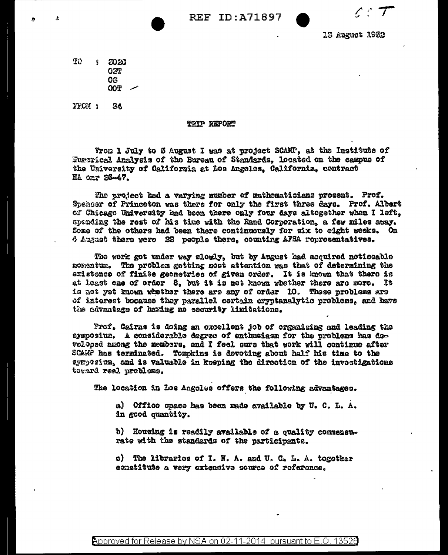$\wedge$   $\tau$ 

15 August 1952

ŦΩ  $3 - 2020$ 027 03 **COO** 

 $FPCM$ 34

## **THIP REPORT**

From 1 July to 5 August I was at project SCAMP, at the Institute of Eugerical Analysis of the Bureau of Standards, located on the campus of the University of California at Los Angeles. California, contract NA onr 26-47.

The project had a varying number of mathematicians prosent. Prof. Spencer of Princeton was there for only the first three days. Prof. Albert of Chicago University had been there only four days altogether when I left, spending the rest of his time with the Rand Corporation. a few miles away. Some of the others had been there continuously for six to eight weeks. On 4 August there were 22 people there, counting AFSA representatives.

The work got under way slowly, but by August had acquired noticeable momentum. The problem gotting most attention was that of determining the existence of finite geometries of given order. It is known that thero is at least one of order 8, but it is not known whether there are more. It is not wet known whether there are any of order 10. These problems are of interest bocause they parallel certain cryptanalytic problems, and have the advantage of having no security limitations.

Prof. Gairns is doing an oxcellent job of organizing and leading the symposium. A considerable degree of enthusiasm for the problems has developed among the members, and I feel sure that work will continue after SCARF has terminated. Tompkins is devoting about half his time to the symposium, and is valuable in keeping the direction of the investigations toward real problems.

The location in Los Angoles offers the following advantages.

a) Office space has been made available by U. C. L. A. in good quantity.

b) Housing is readily available of a quality commensurate with the standards of the participants.

c) The libraries of I. N. A. and U. C. L. A. together constitute a very extensive source of reference.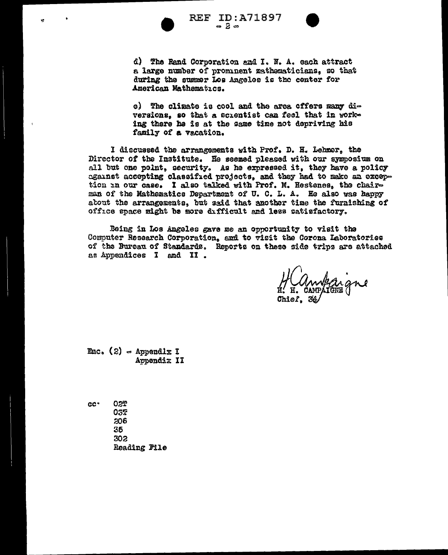

V.

**REF ID:A71897**  $-2-$ 



d) The Rand Corporation and I. N. A. each attract a large number of prominent mathematicians, so that during the susmer Los Angeles is the center for American Mathematics.

e) The climate is cool and the area offers many diversions, so that a scientist can feel that in working there he is at the same time not depriving his family of a vacation.

I discussed the arrangements with Prof. D. H. Lehmer, the Director of the Institute. He seemed pleased with our symposium on all but one point, security. As he expressed it, they have a policy against accepting classified projects, and they had to make an exception in our case. I also talked with Prof. N. Hestenes, the chairman of the Mathematics Department of U. C. L. A. He also was happy about the arrangements, but said that another time the furnishing of office space might be more difficult and less satisfactory.

Being in Los Angeles gave me an opportunity to visit the Computer Research Corporation, and to visit the Corona Laboratories of the Bureau of Standards. Reports on these side trips are attached as Appendices I and II.

Enc.  $(2)$  = Appendlx I Appendiz II

02T cc<sup>.</sup> 032 206 35 302 Reading File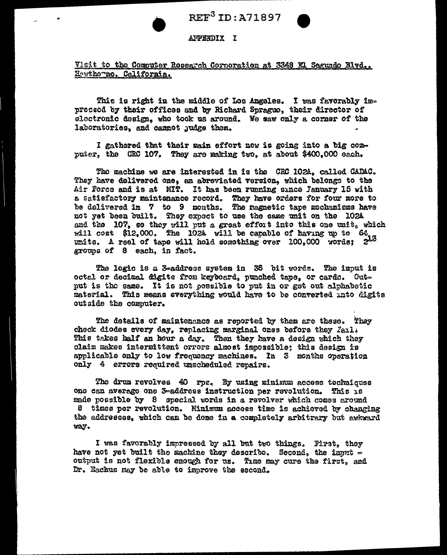

## APPENDIX I

Visit to the Computer Research Cornerstion at 3348 El Segundo Blvd., Hewthowno, California.

This is right in the middle of Los Angeles. I was favorably impressed by their offices and by Richard Sprague, their director of electronic design, who took us around. We saw only a corner of the laboratories, and cannot judge them.

I gathered that their main effort now is going into a big computer, the CRC 107. They are making two, at about \$400,000 each.

The machine we are interested in is the CRC 102A, called CADAC. They have delivered one, an abreviated version, which belongs to the Air Force and is at MIT. It has been running since January 15 with a satisfactory maintenance record. They have orders for four more to be delivered in 7 to 9 months. The ragnetic tape mechanisms have not yet been built. They expect to use the same unit on the 102A and the 107, so they will put a great effort into this one wait, which will cost \$12.000. The 102A will be capable of having up to  $64$ . units. A reel of tape will hold something over 100,000 words; 213 groups of 8 each, in fact.

The logic is a 3-address system in 36 bit words. The input is octal or decimal digits from keyboard, punched tape, or cards. Output is the same. It is not possible to put in or get out alphabetic material. This means everything would have to be converted into digits outside the computer.

The details of maintenance as reported by them are these. They check diodes every day, replacing marginal ones before they fail. This takes half an hour a day. Then they have a design which they claim makes intermittent orrors almost impossible; this design is applicable only to low frequency machines. In 3 months operation only 4 errors required unscheduled repairs.

The drum revolves 40 rpc. By using minimum access techniques one can average one 3-address instruction per revolution. This is made possible by 8 special words in a revolver which comes around 8 times per revolution. Minimum access time is achieved by changing the addresses, which can be done in a completely arbitrary but awkward way.

I was favorably impressed by all but two things. First, they have not yet built the machine they describe. Second, the izont output is not flexible enough for us. Time may cure the first, and Dr. Eachus may be able to improve the second.